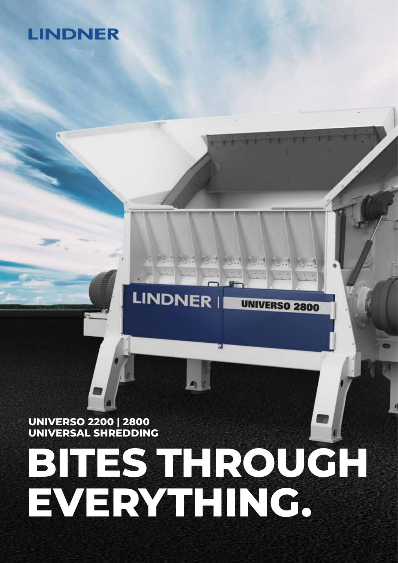# **LINDNER**

# **UNIVERSO 2200 | 2800 UNIVERSAL SHREDDING**

# **BITES THROUGH EVERYTHING.**

**LINDNER** 

**UNIVERSO 2800**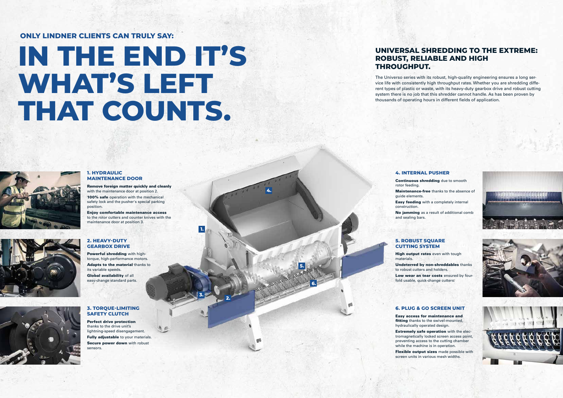**1.**

**2. 3.**

**4.**

**5.**

**6.**

### **2. HEAVY-DUTY GEARBOX DRIVE** Powerful shredding with hightorque, high-performance motors. Adapts to the material thanks to its variable speeds.

Global availability of all easy-change standard parts.

#### **3. TORQUE-LIMITING SAFETY CLUTCH**

Perfect drive protection thanks to the drive unit's lightning-speed disengagement. Fully adjustable to your materials. Secure power down with robust sensors.



# **IN THE END IT'S WHAT'S LEFT THAT COUNTS.**

## **ONLY LINDNER CLIENTS CAN TRULY SAY:**

# **UNIVERSAL SHREDDING TO THE EXTREME: ROBUST, RELIABLE AND HIGH THROUGHPUT.**

The Universo series with its robust, high-quality engineering ensures a long service life with consistently high throughput rates. Whether you are shredding different types of plastic or waste, with its heavy-duty gearbox drive and robust cutting system there is no job that this shredder cannot handle. As has been proven by thousands of operating hours in different fields of application.

#### **1. HYDRAULIC MAINTENANCE DOOR**

Flexible output sizes made possible with screen units in various mesh widths.



Remove foreign matter quickly and cleanly with the maintenance door at position 2. 100% safe operation with the mechanical safety lock and the pusher's special parking position.

Enjoy comfortable maintenance access to the rotor cutters and counter knives with the maintenance door at position 3.

#### **4. INTERNAL PUSHER**

rotor feeding. guide elements.

Continuous shredding due to smooth Maintenance-free thanks to the absence of Easy feeding with a completely internal

construction.

No jamming as a result of additional comb



**High output rates** even with tough



and sealing bars.

#### **5. ROBUST SQUARE CUTTING SYSTEM**

materials.

Undeterred by non-shreddables thanks to robust cutters and holders. Low wear an tear costs ensured by fourfold usable, quick-change cutters.

## **6. PLUG & GO SCREEN UNIT**

Easy access for maintenance and fitting thanks to the swivel-mounted. hydraulically operated design. Extremely safe operation with the electromagnetically locked screen access point, preventing access to the cutting chamber while the machine is in operation.